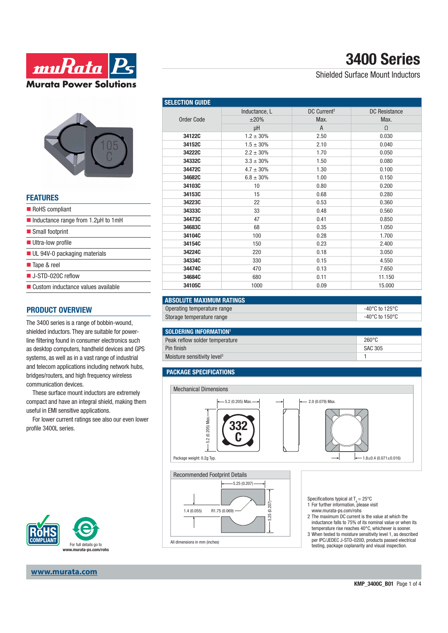



### **FEATURES**

| RoHS compliant                                            |
|-----------------------------------------------------------|
| $\blacksquare$ Inductance range from 1.2 $\upmu$ H to 1mH |
| ■ Small footprint                                         |
| <b>Ultra-low profile</b>                                  |
| $\blacksquare$ UL 94V-0 packaging materials               |
| ■ Tape & reel                                             |
| $\blacksquare$ J-STD-020C reflow                          |
| ■ Custom inductance values available                      |

### **PRODUCT OVERVIEW**

The 3400 series is a range of bobbin-wound, shielded inductors. They are suitable for powerline filtering found in consumer electronics such as desktop computers, handheld devices and GPS systems, as well as in a vast range of industrial and telecom applications including network hubs, bridges/routers, and high frequency wireless communication devices.

These surface mount inductors are extremely compact and have an integral shield, making them useful in EMI sensitive applications.

For lower current ratings see also our even lower profile 3400L series.



#### **www.murata.com**

Shielded Surface Mount Inductors

| <b>SELECTION GUIDE</b> |                |                         |                      |  |
|------------------------|----------------|-------------------------|----------------------|--|
|                        | Inductance, L  | DC Current <sup>2</sup> | <b>DC</b> Resistance |  |
| <b>Order Code</b>      | ±20%           | Max.                    | Max.                 |  |
|                        | μH             | $\overline{A}$          | $\Omega$             |  |
| 34122C                 | $1.2 \pm 30\%$ | 2.50                    | 0.030                |  |
| 34152C                 | $1.5 \pm 30\%$ | 2.10                    | 0.040                |  |
| 34222C                 | $2.2 \pm 30\%$ | 1.70                    | 0.050                |  |
| 34332C                 | $3.3 \pm 30\%$ | 1.50                    | 0.080                |  |
| 34472C                 | $4.7 \pm 30\%$ | 1.30                    | 0.100                |  |
| 34682C                 | $6.8 \pm 30\%$ | 1.00                    | 0.150                |  |
| 34103C                 | 10             | 0.80                    | 0.200                |  |
| 34153C                 | 15             | 0.68                    | 0.280                |  |
| 34223C                 | 22             | 0.53                    | 0.360                |  |
| 34333C                 | 33             | 0.48                    | 0.560                |  |
| 34473C                 | 47             | 0.41                    | 0.850                |  |
| 34683C                 | 68             | 0.35                    | 1.050                |  |
| 34104C                 | 100            | 0.28                    | 1.700                |  |
| 34154C                 | 150            | 0.23                    | 2.400                |  |
| 34224C                 | 220            | 0.18                    | 3.050                |  |
| 34334C                 | 330            | 0.15                    | 4.550                |  |
| 34474C                 | 470            | 0.13                    | 7.650                |  |
| 34684C                 | 680            | 0.11                    | 11.150               |  |
| 34105C                 | 1000           | 0.09                    | 15.000               |  |

| <b>ABSOLUTE MAXIMUM RATINGS</b> |                |
|---------------------------------|----------------|
| Operating temperature range     | -40°C to 125°C |
| Storage temperature range       | -40°C to 150°C |

| SOLDERING INFORMATION <sup>1</sup>      |                 |
|-----------------------------------------|-----------------|
| Peak reflow solder temperature          | $260^{\circ}$ C |
| Pin finish                              | SAC 305         |
| Moisture sensitivity level <sup>3</sup> |                 |

#### **PACKAGE SPECIFICATIONS**

1.4 (0.055) R1.75 (0.069)



5.25 (0.207)

Specifications typical at  $T_A = 25^{\circ}C$ <br>1 For further information, please visit

- www.murata-ps.com/rohs
- 2 The maximum DC current is the value at which the inductance falls to 75% of its nominal value or when its temperature rise reaches 40°C, whichever is sooner.
- 3 When tested to moisture sensitivity level 1, as described per IPC/JEDEC J-STD-020D, products passed electrical All dimensions in mm (inches) error contract the community and visual inspection.<br>The disting, package coplanarity and visual inspection.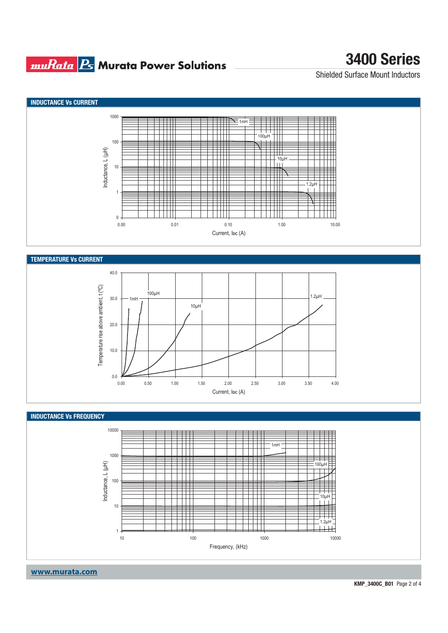### **muRata Ps** Murata Power Solutions

# **3400 Series**

Shielded Surface Mount Inductors





 $0.0$ 

10.0



0.00 0.50 1.00 1.50 2.00 2.50 3.00 3.50 4.00 Current, I<sub>DC</sub> (A)

**www.murata.com**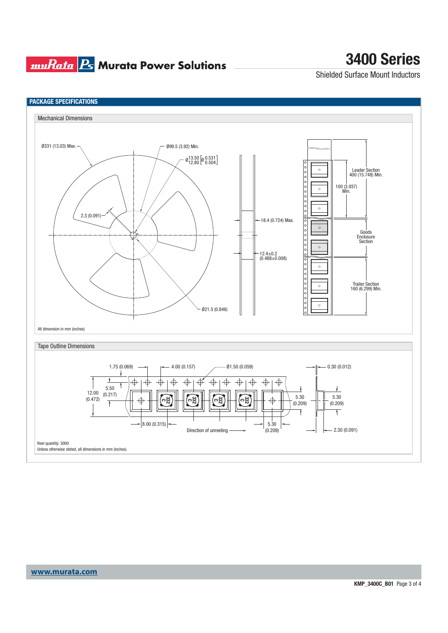### **muRata Ps** Murata Power Solutions

# **3400 Series**

Shielded Surface Mount Inductors